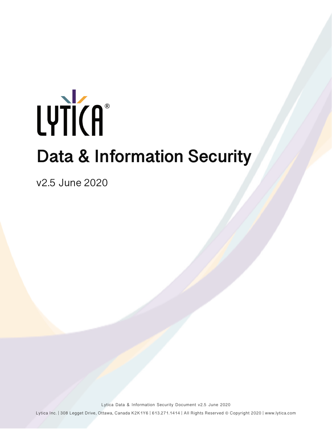# **Data & Information Security** LYTICA®

v2.5 June 2020

Lytica Data & Information Security Document v2.5 June 2020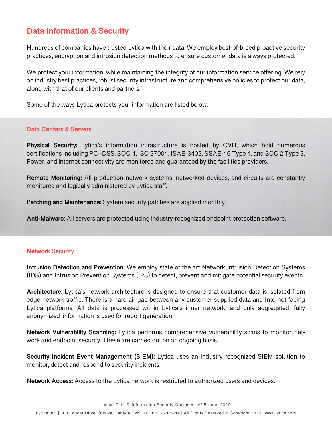## **Data Information & Security**

Hundreds of companies have trusted Lytica with their data. We employ best-of-breed proactive security practices, encryption and intrusion detection methods to ensure customer data is always protected.

We protect your information, while maintaining the integrity of our information service offering. We rely on industry best practices, robust security infrastructure and comprehensive policies to protect our data, along with that of our clients and partners.

Some of the ways Lytica protects your information are listed below:

### **Data Centers & Servers**

**Physical Security:** Lytica's information infrastructure is hosted by OVH, which hold numerous certifications including PCI-DSS, SOC 1, ISO 27001, ISAE-3402, SSAE-16 Type 1, and SOC 2 Type 2. Power, and internet connectivity are monitored and guaranteed by the facilities providers.

**Remote Monitoring:** All production network systems, networked devices, and circuits are constantly monitored and logically administered by Lytica staff.

**Patching and Maintenance:** System security patches are applied monthly.

**Anti-Malware:** All servers are protected using industry-recognized endpoint protection software.

### **Network Security**

**Intrusion Detection and Prevention:** We employ state of the art Network Intrusion Detection Systems (IDS) and Intrusion Prevention Systems (IPS) to detect, prevent and mitigate potential security events.

**Architecture:** Lytica's network architecture is designed to ensure that customer data is isolated from edge network traffic. There is a hard air-gap between any customer supplied data and Internet facing Lytica platforms. All data is processed within Lytica's inner network, and only aggregated, fully anonymized information is used for report generation.

**Network Vulnerability Scanning:** Lytica performs comprehensive vulnerability scans to monitor network and endpoint security. These are carried out on an ongoing basis.

**Security Incident Event Management (SIEM):** Lytica uses an industry recognized SIEM solution to monitor, detect and respond to security incidents.

**Network Access:** Access to the Lytica network is restricted to authorized users and devices.